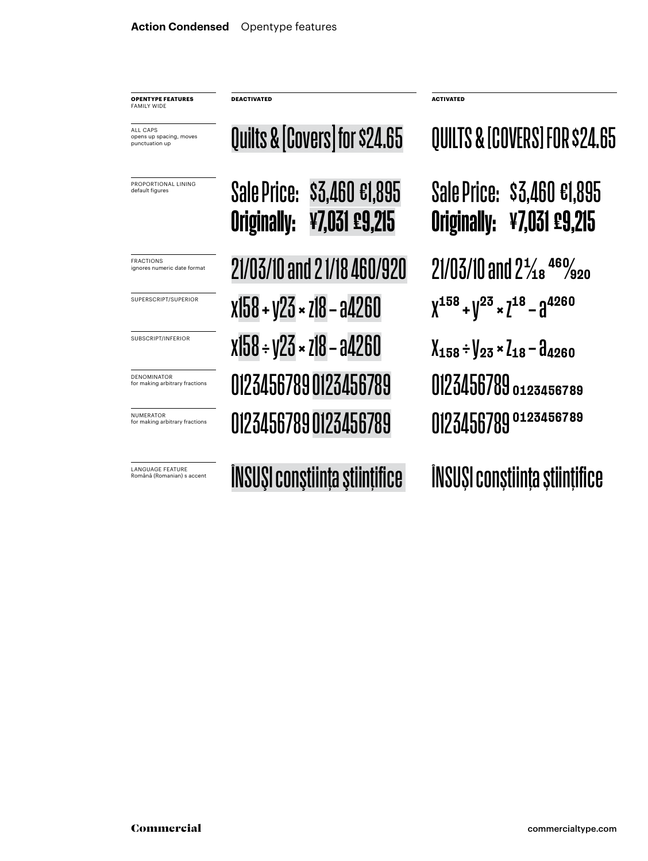**OPENTYPE FEATURES FAMILY WIDE** 

ALL CAPS opens up spacing, moves punctuation up

PROPORTIONAL LINING default figures

LANGUAGE FEATURE<br>Română (Romanian) s accent

Sale Price: \$3,460 €1,895 Originally: ¥7,031 £9,215 Quilts & [Covers] for \$24.65  $\overline{P_{\text{RACTIONS}}^{RACTIONS}}$  21/03/10 and 2 1/18 460/920 21/03/10 and 2<sup>1</sup>/18 460/920 SUPERSCRIPT/SUPERIOR  $X158 + 123 \times 718 - 94260$   $X^{158} + 12^3 \times 7^{18} - 94260$ SUBSCRIPT/INFERIOR  $X158 \div y23 \times z18 - a4260$   $X_{158} \div y_{23} \times z_{18} - a_{4260}$ NUMERATOR CONTRATOR CONTRACTOR 0123456789 for making arbitrary fractions 0123456789 0123456789 DENOMINATOR **DENOMINATOR 0123456789** 0123456789 0123456789 0123456789

**DEACTIVATED ACTIVATED**

Sale Price: \$3,460 €1,895 Originally: ¥7,031 £9,215 QUILTS & [COVERS] FOR \$24.65

Română (Romanian) s accent ÎNSUŞI conştiinţa ştiinţifice ÎNSUŞI conştiinţa ştiinţifice